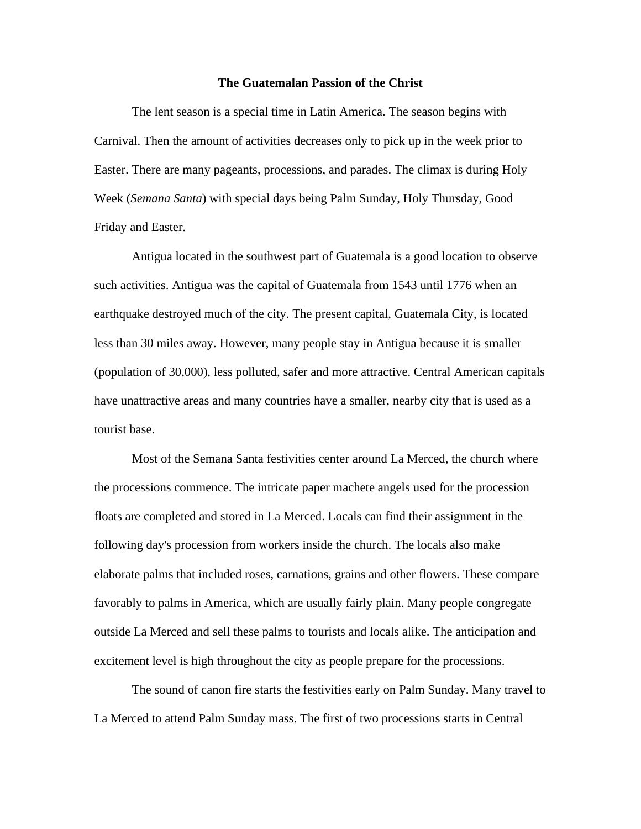## **The Guatemalan Passion of the Christ**

The lent season is a special time in Latin America. The season begins with Carnival. Then the amount of activities decreases only to pick up in the week prior to Easter. There are many pageants, processions, and parades. The climax is during Holy Week (*Semana Santa*) with special days being Palm Sunday, Holy Thursday, Good Friday and Easter.

Antigua located in the southwest part of Guatemala is a good location to observe such activities. Antigua was the capital of Guatemala from 1543 until 1776 when an earthquake destroyed much of the city. The present capital, Guatemala City, is located less than 30 miles away. However, many people stay in Antigua because it is smaller (population of 30,000), less polluted, safer and more attractive. Central American capitals have unattractive areas and many countries have a smaller, nearby city that is used as a tourist base.

Most of the Semana Santa festivities center around La Merced, the church where the processions commence. The intricate paper machete angels used for the procession floats are completed and stored in La Merced. Locals can find their assignment in the following day's procession from workers inside the church. The locals also make elaborate palms that included roses, carnations, grains and other flowers. These compare favorably to palms in America, which are usually fairly plain. Many people congregate outside La Merced and sell these palms to tourists and locals alike. The anticipation and excitement level is high throughout the city as people prepare for the processions.

The sound of canon fire starts the festivities early on Palm Sunday. Many travel to La Merced to attend Palm Sunday mass. The first of two processions starts in Central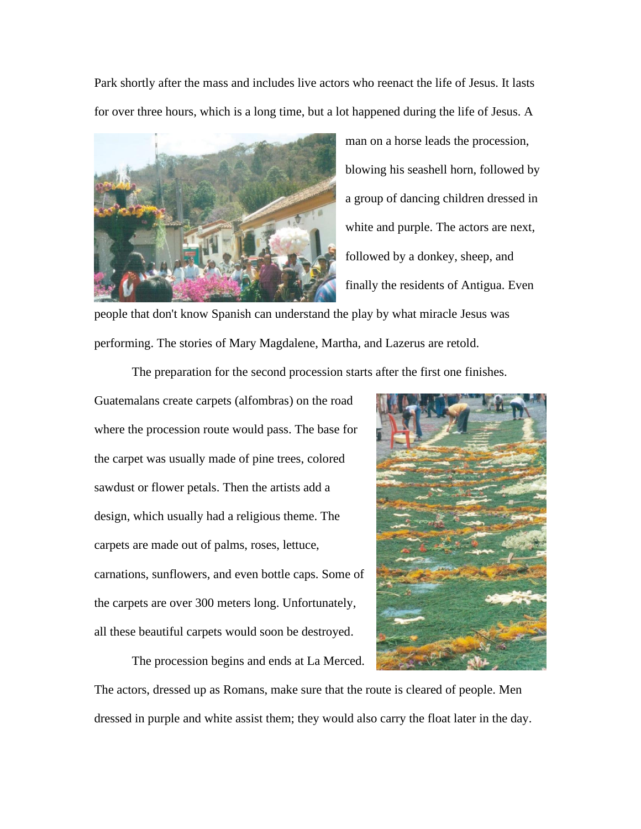Park shortly after the mass and includes live actors who reenact the life of Jesus. It lasts for over three hours, which is a long time, but a lot happened during the life of Jesus. A



man on a horse leads the procession, blowing his seashell horn, followed by a group of dancing children dressed in white and purple. The actors are next, followed by a donkey, sheep, and finally the residents of Antigua. Even

people that don't know Spanish can understand the play by what miracle Jesus was performing. The stories of Mary Magdalene, Martha, and Lazerus are retold.

The preparation for the second procession starts after the first one finishes.

Guatemalans create carpets (alfombras) on the road where the procession route would pass. The base for the carpet was usually made of pine trees, colored sawdust or flower petals. Then the artists add a design, which usually had a religious theme. The carpets are made out of palms, roses, lettuce, carnations, sunflowers, and even bottle caps. Some of the carpets are over 300 meters long. Unfortunately, all these beautiful carpets would soon be destroyed.

The procession begins and ends at La Merced.



The actors, dressed up as Romans, make sure that the route is cleared of people. Men dressed in purple and white assist them; they would also carry the float later in the day.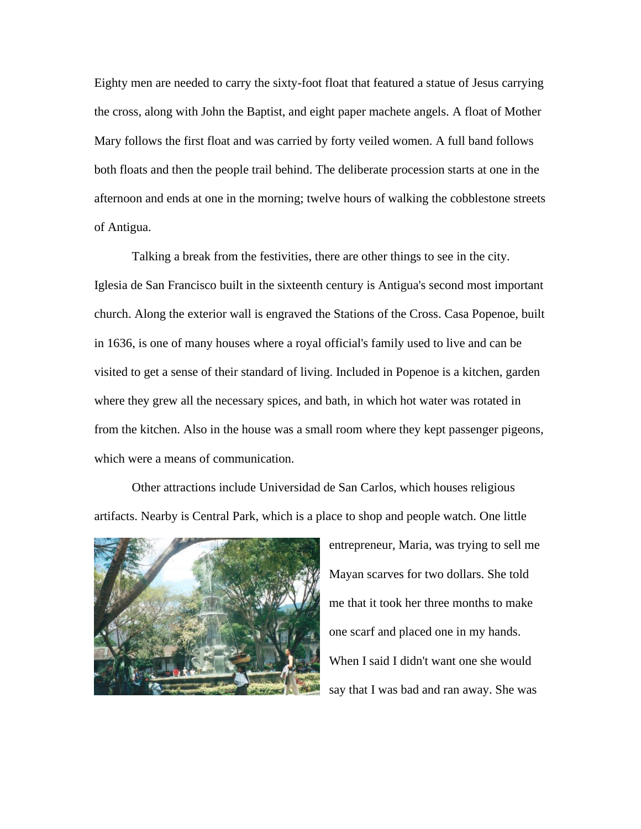Eighty men are needed to carry the sixty-foot float that featured a statue of Jesus carrying the cross, along with John the Baptist, and eight paper machete angels. A float of Mother Mary follows the first float and was carried by forty veiled women. A full band follows both floats and then the people trail behind. The deliberate procession starts at one in the afternoon and ends at one in the morning; twelve hours of walking the cobblestone streets of Antigua.

Talking a break from the festivities, there are other things to see in the city. Iglesia de San Francisco built in the sixteenth century is Antigua's second most important church. Along the exterior wall is engraved the Stations of the Cross. Casa Popenoe, built in 1636, is one of many houses where a royal official's family used to live and can be visited to get a sense of their standard of living. Included in Popenoe is a kitchen, garden where they grew all the necessary spices, and bath, in which hot water was rotated in from the kitchen. Also in the house was a small room where they kept passenger pigeons, which were a means of communication.

Other attractions include Universidad de San Carlos, which houses religious artifacts. Nearby is Central Park, which is a place to shop and people watch. One little



entrepreneur, Maria, was trying to sell me Mayan scarves for two dollars. She told me that it took her three months to make one scarf and placed one in my hands. When I said I didn't want one she would say that I was bad and ran away. She was